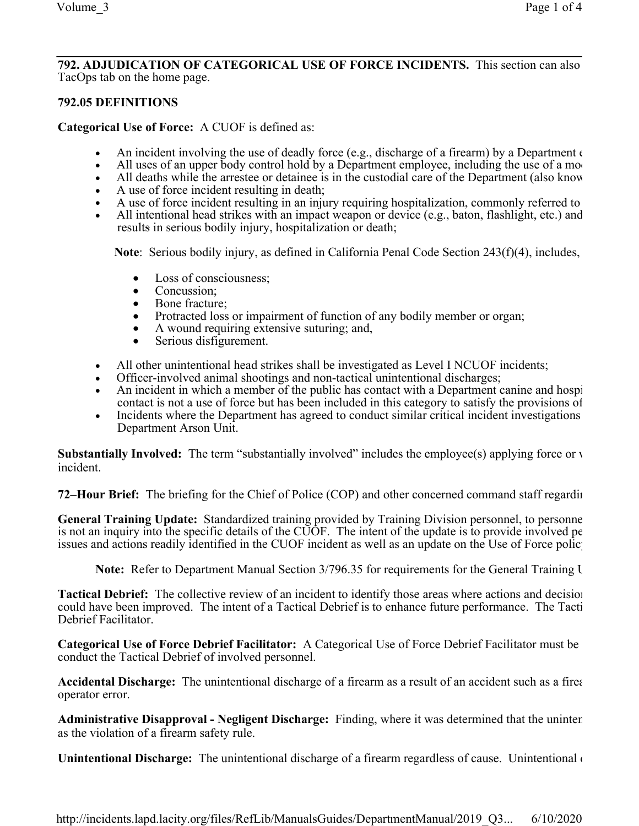#### **792. ADJUDICATION OF CATEGORICAL USE OF FORCE INCIDENTS.** This section can also TacOps tab on the home page.

## **792.05 DEFINITIONS**

**Categorical Use of Force:** A CUOF is defined as:

- An incident involving the use of deadly force (e.g., discharge of a firearm) by a Department  $\epsilon$
- All uses of an upper body control hold by a Department employee, including the use of a modified carotide carotide carotide carotide carotide carotide carotide carotide carotide carotide carotide carotide carotide and
- All deaths while the arrestee or detainee is in the custodial care of the Department (also know
- A use of force incident resulting in death;
- A use of force incident resulting in an injury requiring hospitalization, commonly referred to
- All intentional head strikes with an impact weapon or device (e.g., baton, flashlight, etc.) and results in serious bodily injury, hospitalization or death;

**Note**: Serious bodily injury, as defined in California Penal Code Section 243(f)(4), includes,

- Loss of consciousness;
- Concussion:
- Bone fracture;
- Protracted loss or impairment of function of any bodily member or organ;
- · A wound requiring extensive suturing; and,
- Serious disfigurement.
- All other unintentional head strikes shall be investigated as Level I NCUOF incidents;
- Officer-involved animal shootings and non-tactical unintentional discharges;
- An incident in which a member of the public has contact with a Department canine and hospi contact is not a use of force but has been included in this category to satisfy the provisions of
- Incidents where the Department has agreed to conduct similar critical incident investigations Department Arson Unit.

**Substantially Involved:** The term "substantially involved" includes the employee(s) applying force or v incident.

**72–Hour Brief:** The briefing for the Chief of Police (COP) and other concerned command staff regarding the preliminary information and  $\alpha$ 

**General Training Update:** Standardized training provided by Training Division personnel, to personne is not an inquiry into the specific details of the CUOF. The intent of the update is to provide involved pe issues and actions readily identified in the CUOF incident as well as an update on the Use of Force polic

**Note:** Refer to Department Manual Section 3/796.35 for requirements for the General Training U

**Tactical Debrief:** The collective review of an incident to identify those areas where actions and decision could have been improved. The intent of a Tactical Debrief is to enhance future performance. The Tacti Debrief Facilitator.

**Categorical Use of Force Debrief Facilitator:** A Categorical Use of Force Debrief Facilitator must be conduct the Tactical Debrief of involved personnel.

Accidental Discharge: The unintentional discharge of a firearm as a result of an accident such as a firearmoperator error.

Administrative Disapproval - Negligent Discharge: Finding, where it was determined that the uninten as the violation of a firearm safety rule.

**Unintentional Discharge:** The unintentional discharge of a firearm regardless of cause. Unintentional or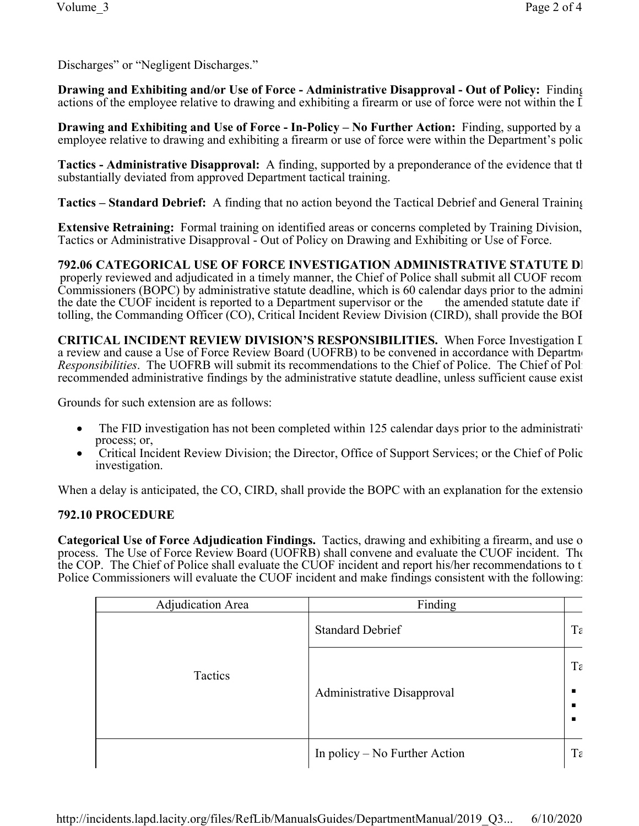Discharges" or "Negligent Discharges."

**Drawing and Exhibiting and/or Use of Force - Administrative Disapproval - Out of Policy: Finding** actions of the employee relative to drawing and exhibiting a firearm or use of force were not within the  $\overline{I}$ 

**Drawing and Exhibiting and Use of Force - In-Policy – No Further Action: Finding, supported by a** employee relative to drawing and exhibiting a firearm or use of force were within the Department's policies.

**Tactics - Administrative Disapproval:** A finding, supported by a preponderance of the evidence that the tactics employed during a CU<sub>O</sub>F incident units a CU<sub>O</sub>F incident units of the evidence that the tactic units of the substantially deviated from approved Department tactical training.

**Tactics – Standard Debrief:** A finding that no action beyond the Tactical Debrief and General Training

**Extensive Retraining:** Formal training on identified areas or concerns completed by Training Division, Tactics or Administrative Disapproval - Out of Policy on Drawing and Exhibiting or Use of Force.

**792.06 CATEGORICAL USE OF FORCE INVESTIGATION ADMINISTRATIVE STATUTE DI** properly reviewed and adjudicated in a timely manner, the Chief of Police shall submit all CUOF recom-Commissioners (BOPC) by administrative statute deadline, which is 60 calendar days prior to the admini the date the CUOF incident is reported to a Department supervisor or the the amended statute date if tolling, the Commanding Officer (CO), Critical Incident Review Division (CIRD), shall provide the BOI

CRITICAL INCIDENT REVIEW DIVISION'S RESPONSIBILITIES. When Force Investigation I a review and cause a Use of Force Review Board (UOFRB) to be convened in accordance with Department *Responsibilities*. The UOFRB will submit its recommendations to the Chief of Police. The Chief of Pol recommended administrative findings by the administrative statute deadline, unless sufficient cause exist

Grounds for such extension are as follows:

- The FID investigation has not been completed within 125 calendar days prior to the administrative process; or,
- Critical Incident Review Division; the Director, Office of Support Services; or the Chief of Polic investigation.

When a delay is anticipated, the CO, CIRD, shall provide the BOPC with an explanation for the extension

### **792.10 PROCEDURE**

**Categorical Use of Force Adjudication Findings.** Tactics, drawing and exhibiting a firearm, and use o process. The Use of Force Review Board (UOFRB) shall convene and evaluate the CUOF incident. The the COP. The Chief of Police shall evaluate the CUOF incident and report his/her recommendations to the Police Commissioners will evaluate the CUOF incident and make findings consistent with the following:

| Adjudication Area | Finding                           |    |
|-------------------|-----------------------------------|----|
| Tactics           | <b>Standard Debrief</b>           | Ta |
|                   | <b>Administrative Disapproval</b> | Ta |
|                   | In policy – No Further Action     | Ta |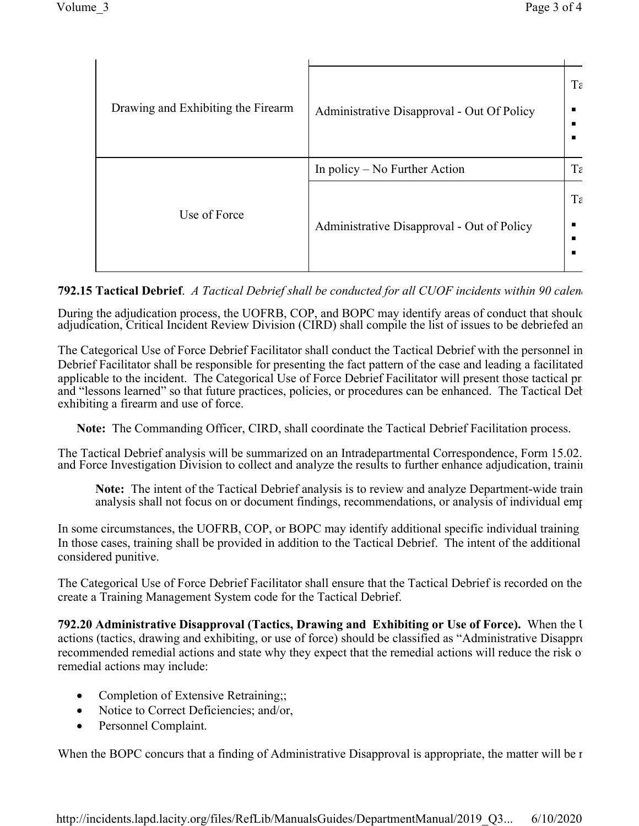| Drawing and Exhibiting the Firearm | Administrative Disapproval - Out Of Policy | Ta<br>п.<br>п<br>п |
|------------------------------------|--------------------------------------------|--------------------|
| Use of Force                       | In policy – No Further Action              | Ta                 |
|                                    | Administrative Disapproval - Out of Policy | Ta<br>п<br>п<br>п  |

# **792.15 Tactical Debrief**. *A Tactical Debrief shall be conducted for all CUOF incidents within 90 calend*

During the adjudication process, the UOFRB, COP, and BOPC may identify areas of conduct that should adjudication, Critical Incident Review Division (CIRD) shall compile the list of issues to be debriefed an

The Categorical Use of Force Debrief Facilitator shall conduct the Tactical Debrief with the personnel in Debrief Facilitator shall be responsible for presenting the fact pattern of the case and leading a facilitated applicable to the incident. The Categorical Use of Force Debrief Facilitator will present those tactical pr and "lessons learned" so that future practices, policies, or procedures can be enhanced. The Tactical Del exhibiting a firearm and use of force.

**Note:** The Commanding Officer, CIRD, shall coordinate the Tactical Debrief Facilitation process.

The Tactical Debrief analysis will be summarized on an Intradepartmental Correspondence, Form 15.02. and Force Investigation Division to collect and analyze the results to further enhance adjudication, training, and critical investigation Division to collect and analyze the results to further enhance adjudication, trainin

Note: The intent of the Tactical Debrief analysis is to review and analyze Department-wide train analysis shall not focus on or document findings, recommendations, or analysis of individual emp

In some circumstances, the UOFRB, COP, or BOPC may identify additional specific individual training In those cases, training shall be provided in addition to the Tactical Debrief. The intent of the additional considered punitive.

The Categorical Use of Force Debrief Facilitator shall ensure that the Tactical Debrief is recorded on the create a Training Management System code for the Tactical Debrief.

**792.20 Administrative Disapproval (Tactics, Drawing and Exhibiting or Use of Force).** When the U actions (tactics, drawing and exhibiting, or use of force) should be classified as "Administrative Disappro recommended remedial actions and state why they expect that the remedial actions will reduce the risk of remedial actions may include:

- Completion of Extensive Retraining;;
- Notice to Correct Deficiencies; and/or,
- · Personnel Complaint.

When the BOPC concurs that a finding of Administrative Disapproval is appropriate, the matter will be  $r =$